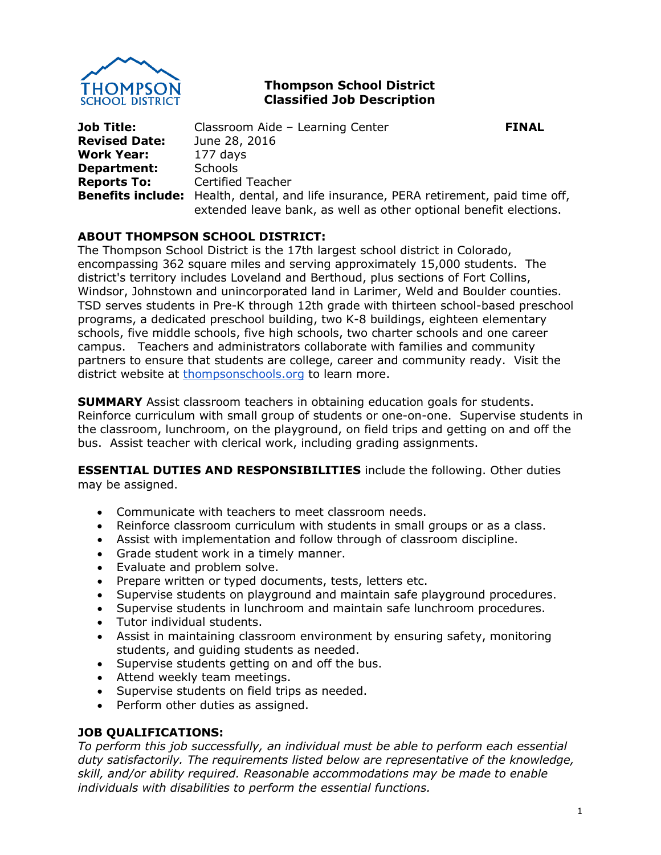

# **Thompson School District Classified Job Description**

**Job Title:** Classroom Aide – Learning Center **FINAL Revised Date:** June 28, 2016 **Work Year:** 177 days **Department:** Schools **Reports To:** Certified Teacher **Benefits include:** Health, dental, and life insurance, PERA retirement, paid time off, extended leave bank, as well as other optional benefit elections.

# **ABOUT THOMPSON SCHOOL DISTRICT:**

The Thompson School District is the 17th largest school district in Colorado, encompassing 362 square miles and serving approximately 15,000 students. The district's territory includes Loveland and Berthoud, plus sections of Fort Collins, Windsor, Johnstown and unincorporated land in Larimer, Weld and Boulder counties. TSD serves students in Pre-K through 12th grade with thirteen school-based preschool programs, a dedicated preschool building, two K-8 buildings, eighteen elementary schools, five middle schools, five high schools, two charter schools and one career campus. Teachers and administrators collaborate with families and community partners to ensure that students are college, career and community ready. Visit the district website at [thompsonschools.org](https://www.thompsonschools.org/) to learn more.

**SUMMARY** Assist classroom teachers in obtaining education goals for students. Reinforce curriculum with small group of students or one-on-one. Supervise students in the classroom, lunchroom, on the playground, on field trips and getting on and off the bus. Assist teacher with clerical work, including grading assignments.

**ESSENTIAL DUTIES AND RESPONSIBILITIES** include the following. Other duties may be assigned.

- Communicate with teachers to meet classroom needs.
- Reinforce classroom curriculum with students in small groups or as a class.
- Assist with implementation and follow through of classroom discipline.
- Grade student work in a timely manner.
- Evaluate and problem solve.
- Prepare written or typed documents, tests, letters etc.
- Supervise students on playground and maintain safe playground procedures.
- Supervise students in lunchroom and maintain safe lunchroom procedures.
- Tutor individual students.
- Assist in maintaining classroom environment by ensuring safety, monitoring students, and guiding students as needed.
- Supervise students getting on and off the bus.
- Attend weekly team meetings.
- Supervise students on field trips as needed.
- Perform other duties as assigned.

### **JOB QUALIFICATIONS:**

*To perform this job successfully, an individual must be able to perform each essential duty satisfactorily. The requirements listed below are representative of the knowledge, skill, and/or ability required. Reasonable accommodations may be made to enable individuals with disabilities to perform the essential functions.*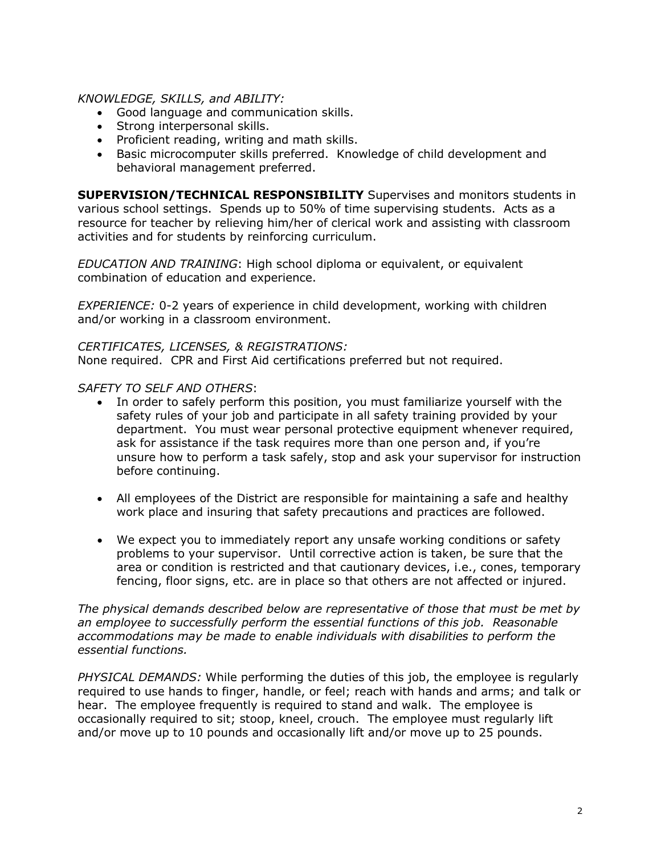### *KNOWLEDGE, SKILLS, and ABILITY:*

- Good language and communication skills.
- Strong interpersonal skills.
- Proficient reading, writing and math skills.
- Basic microcomputer skills preferred. Knowledge of child development and behavioral management preferred.

**SUPERVISION/TECHNICAL RESPONSIBILITY** Supervises and monitors students in various school settings. Spends up to 50% of time supervising students. Acts as a resource for teacher by relieving him/her of clerical work and assisting with classroom activities and for students by reinforcing curriculum.

*EDUCATION AND TRAINING*: High school diploma or equivalent, or equivalent combination of education and experience.

*EXPERIENCE:* 0-2 years of experience in child development, working with children and/or working in a classroom environment.

#### *CERTIFICATES, LICENSES, & REGISTRATIONS:*

None required. CPR and First Aid certifications preferred but not required.

#### *SAFETY TO SELF AND OTHERS*:

- In order to safely perform this position, you must familiarize yourself with the safety rules of your job and participate in all safety training provided by your department. You must wear personal protective equipment whenever required, ask for assistance if the task requires more than one person and, if you're unsure how to perform a task safely, stop and ask your supervisor for instruction before continuing.
- All employees of the District are responsible for maintaining a safe and healthy work place and insuring that safety precautions and practices are followed.
- We expect you to immediately report any unsafe working conditions or safety problems to your supervisor. Until corrective action is taken, be sure that the area or condition is restricted and that cautionary devices, i.e., cones, temporary fencing, floor signs, etc. are in place so that others are not affected or injured.

*The physical demands described below are representative of those that must be met by an employee to successfully perform the essential functions of this job. Reasonable accommodations may be made to enable individuals with disabilities to perform the essential functions.*

*PHYSICAL DEMANDS:* While performing the duties of this job, the employee is regularly required to use hands to finger, handle, or feel; reach with hands and arms; and talk or hear. The employee frequently is required to stand and walk. The employee is occasionally required to sit; stoop, kneel, crouch. The employee must regularly lift and/or move up to 10 pounds and occasionally lift and/or move up to 25 pounds.